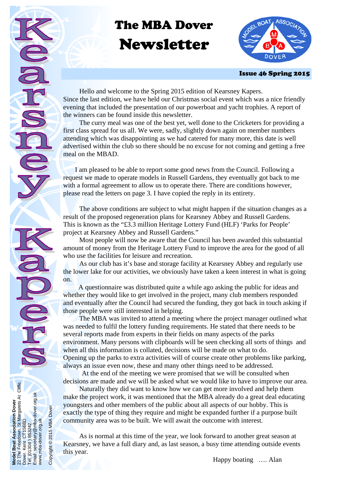# The MBA Dover

# Newsletter



### Issue 46 Spring 2015

 Hello and welcome to the Spring 2015 edition of Kearsney Kapers. Since the last edition, we have held our Christmas social event which was a nice friendly evening that included the presentation of our powerboat and yacht trophies. A report of the winners can be found inside this newsletter.

 The curry meal was one of the best yet, well done to the Cricketers for providing a first class spread for us all. We were, sadly, slightly down again on member numbers attending which was disappointing as we had catered for many more, this date is well advertised within the club so there should be no excuse for not coming and getting a free meal on the MBAD.

 I am pleased to be able to report some good news from the Council. Following a request we made to operate models in Russell Gardens, they eventually got back to me with a formal agreement to allow us to operate there. There are conditions however, please read the letters on page 3. I have copied the reply in its entirety.

 The above conditions are subject to what might happen if the situation changes as a result of the proposed regeneration plans for Kearsney Abbey and Russell Gardens. This is known as the "£3.3 million Heritage Lottery Fund (HLF) 'Parks for People' project at Kearsney Abbey and Russell Gardens."

 Most people will now be aware that the Council has been awarded this substantial amount of money from the Heritage Lottery Fund to improve the area for the good of all who use the facilities for leisure and recreation.

 As our club has it's base and storage facility at Kearsney Abbey and regularly use the lower lake for our activities, we obviously have taken a keen interest in what is going on.

 A questionnaire was distributed quite a while ago asking the public for ideas and whether they would like to get involved in the project, many club members responded and eventually after the Council had secured the funding, they got back in touch asking if those people were still interested in helping.

 The MBA was invited to attend a meeting where the project manager outlined what was needed to fulfil the lottery funding requirements. He stated that there needs to be several reports made from experts in their fields on many aspects of the parks environment. Many persons with clipboards will be seen checking all sorts of things and when all this information is collated, decisions will be made on what to do. Opening up the parks to extra activities will of course create other problems like parking, always an issue even now, these and many other things need to be addressed.

 At the end of the meeting we were promised that we will be consulted when decisions are made and we will be asked what we would like to have to improve our area.

 Naturally they did want to know how we can get more involved and help them make the project work, it was mentioned that the MBA already do a great deal educating youngsters and other members of the public about all aspects of our hobby. This is exactly the type of thing they require and might be expanded further if a purpose built community area was to be built. We will await the outcome with interest.

 As is normal at this time of the year, we look forward to another great season at Kearsney, we have a full diary and, as last season, a busy time attending outside events this year.

**Model Boat Association Dover**  22 The Freedown, St Margarets At Cliffe.

Boat Association Dover<br>Freedown, St Margarets At Cliffe.<br>Kent CT156BD

Dover. Kent CT156BD Tel. (01304 ) 853242.

 $(01304)$ Email:  $\overline{e}$ 

Email: secretary@mba-dover.org.uk

1304) 853242.<br>secretary@mba-dover.org.uk

www.mba-dover.org.uk

www.mba-dover.org.uk

Copyright © 2015 MBA Dover

Copyright © 2015 MBA Dover

Happy boating …. Alan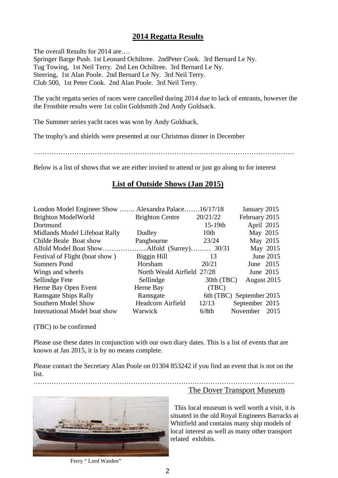## **2014 Regatta Results**

The overall Results for 2014 are.... Springer Barge Push. 1st Leonard Ochiltree. 2ndPeter Cook. 3rd Bernard Le Ny. Tug Towing, 1st Neil Terry. 2nd Len Ochiltree. 3rd Bernard Le Ny. Steering, 1st Alan Poole. 2nd Bernard Le Ny. 3rd Neil Terry. Club 500, 1st Peter Cook. 2nd Alan Poole. 3rd Neil Terry.

The yacht regatta series of races were cancelled during 2014 due to lack of entrants, however the the Frostbite results were 1st colin Goldsmith 2nd Andy Goldsack.

The Summer series yacht races was won by Andy Goldsack,

The trophy's and shields were presented at our Christmas dinner in December

…………………………………………………………………………………………………….

Below is a list of shows that we are either invited to attend or just go along to for interest

# **List of Outside Shows (Jan 2015)**

|                        |                  | January 2015                                                                                   |
|------------------------|------------------|------------------------------------------------------------------------------------------------|
| <b>Brighton Centre</b> |                  | February 2015                                                                                  |
|                        | $15-19th$        | April 2015                                                                                     |
| Dudley                 | 10 <sub>th</sub> | May 2015                                                                                       |
| Pangbourne             | 23/24            | May 2015                                                                                       |
|                        |                  | May 2015                                                                                       |
| Biggin Hill            | 13               | June 2015                                                                                      |
| Horsham                | 20/21            | June 2015                                                                                      |
|                        |                  | June 2015                                                                                      |
| Sellindge              | 30th (TBC)       | August 2015                                                                                    |
| Herne Bay              | (TBC)            |                                                                                                |
| Ramsgate               |                  | 6th (TBC) September 2015                                                                       |
| Headcorn Airfield      | 12/13            | September 2015                                                                                 |
| Warwick                | 6/8th            | November 2015                                                                                  |
|                        |                  | London Model Engineer Show  Alexandra Palace16/17/18<br>20/21/22<br>North Weald Airfield 27/28 |

(TBC) to be confirmed

Please use these dates in conjunction with our own diary dates. This is a list of events that are known at Jan 2015, it is by no means complete.

Please contact the Secretary Alan Poole on 01304 853242 if you find an event that is not on the list.



## The Dover Transport Museum

 This local museum is well worth a visit, it is situated in the old Royal Engineers Barracks at Whitfield and contains many ship models of local interest as well as many other transport related exhibits.

Ferry "Lord Warden"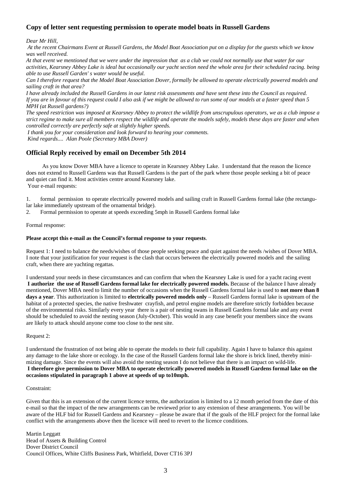#### **Copy of letter sent requesting permission to operate model boats in Russell Gardens**

*Dear Mr Hill,* 

 *At the recent Chairmans Event at Russell Gardens, the Model Boat Association put on a display for the guests which we know was well received.* 

*At that event we mentioned that we were under the impression that as a club we could not normally use that water for our activities, Kearsney Abbey Lake is ideal but occasionally our yacht section need the whole area for their scheduled racing. being able to use Russell Garden' s water would be useful.* 

*Can I therefore request that the Model Boat Association Dover, formally be allowed to operate electrically powered models and sailing craft in that area?* 

*I have already included the Russell Gardens in our latest risk assessments and have sent these into the Council as required. If you are in favour of this request could I also ask if we might be allowed to run some of our models at a faster speed than 5 MPH (at Russell gardens?)* 

*The speed restriction was imposed at Kearsney Abbey to protect the wildlife from unscrupulous operators, we as a club impose a strict regime to make sure all members respect the wildlife and operate the models safely, models these days are faster and when controlled correctly are perfectly safe at slightly higher speeds.* 

 *I thank you for your consideration and look forward to hearing your comments.* 

 *Kind regards.... Alan Poole (Secretary MBA Dover)* 

#### **Official Reply received by email on December 5th 2014**

 As you know Dover MBA have a licence to operate in Kearsney Abbey Lake. I understand that the reason the licence does not extend to Russell Gardens was that Russell Gardens is the part of the park where those people seeking a bit of peace and quiet can find it. Most activities centre around Kearsney lake. Your e-mail requests:

1. formal permission to operate electrically powered models and sailing craft in Russell Gardens formal lake (the rectangular lake immediately upstream of the ornamental bridge).

2. Formal permission to operate at speeds exceeding 5mph in Russell Gardens formal lake

#### Formal response:

#### **Please accept this e-mail as the Council's formal response to your requests**.

Request 1: I need to balance the needs/wishes of those people seeking peace and quiet against the needs /wishes of Dover MBA. I note that your justification for your request is the clash that occurs between the electrically powered models and the sailing craft, when there are yachting regattas.

I understand your needs in these circumstances and can confirm that when the Kearsney Lake is used for a yacht racing event **I authorize the use of Russell Gardens formal lake for electrically powered models.** Because of the balance I have already mentioned, Dover MBA need to limit the number of occasions when the Russell Gardens formal lake is used to **not more than 8**  days a year. This authorization is limited to **electrically powered models only** – Russell Gardens formal lake is upstream of the habitat of a protected species, the native freshwater crayfish, and petrol engine models are therefore strictly forbidden because of the environmental risks. Similarly every year there is a pair of nesting swans in Russell Gardens formal lake and any event should be scheduled to avoid the nesting season (July-October). This would in any case benefit your members since the swans are likely to attack should anyone come too close to the nest site.

Request 2:

I understand the frustration of not being able to operate the models to their full capability. Again I have to balance this against any damage to the lake shore or ecology. In the case of the Russell Gardens formal lake the shore is brick lined, thereby minimizing damage. Since the events will also avoid the nesting season I do not believe that there is an impact on wild-life. **I therefore give permission to Dover MBA to operate electrically powered models in Russell Gardens formal lake on the occasions stipulated in paragraph 1 above at speeds of up to10mph.** 

#### Constraint:

Given that this is an extension of the current licence terms, the authorization is limited to a 12 month period from the date of this e-mail so that the impact of the new arrangements can be reviewed prior to any extension of these arrangements. You will be aware of the HLF bid for Russell Gardens and Kearsney – please be aware that if the goals of the HLF project for the formal lake conflict with the arrangements above then the licence will need to revert to the licence conditions.

Martin Leggatt Head of Assets & Building Control Dover District Council Council Offices, White Cliffs Business Park, Whitfield, Dover CT16 3PJ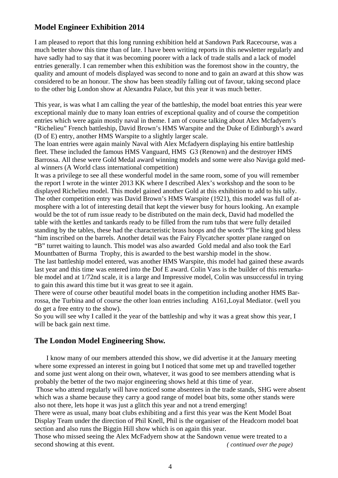## **Model Engineer Exhibition 2014**

I am pleased to report that this long running exhibition held at Sandown Park Racecourse, was a much better show this time than of late. I have been writing reports in this newsletter regularly and have sadly had to say that it was becoming poorer with a lack of trade stalls and a lack of model entries generally. I can remember when this exhibition was the foremost show in the country, the quality and amount of models displayed was second to none and to gain an award at this show was considered to be an honour. The show has been steadily falling out of favour, taking second place to the other big London show at Alexandra Palace, but this year it was much better.

This year, is was what I am calling the year of the battleship, the model boat entries this year were exceptional mainly due to many loan entries of exceptional quality and of course the competition entries which were again mostly naval in theme. I am of course talking about Alex Mcfadyern's "Richelieu" French battleship, David Brown's HMS Warspite and the Duke of Edinburgh's award (D of E) entry, another HMS Warspite to a slightly larger scale.

The loan entries were again mainly Naval with Alex Mcfadyern displaying his entire battleship fleet. These included the famous HMS Vanguard, HMS G3 (Renown) and the destroyer HMS Barrossa. All these were Gold Medal award winning models and some were also Naviga gold medal winners (A World class international competition)

It was a privilege to see all these wonderful model in the same room, some of you will remember the report I wrote in the winter 2013 KK where I described Alex's workshop and the soon to be displayed Richelieu model. This model gained another Gold at this exhibition to add to his tally. The other competition entry was David Brown's HMS Warspite (1921), this model was full of atmosphere with a lot of interesting detail that kept the viewer busy for hours looking. An example would be the tot of rum issue ready to be distributed on the main deck, David had modelled the table with the kettles and tankards ready to be filled from the rum tubs that were fully detailed standing by the tables, these had the characteristic brass hoops and the words "The king god bless "him inscribed on the barrels. Another detail was the Fairy Flycatcher spotter plane ranged on "B" turret waiting to launch. This model was also awarded Gold medal and also took the Earl Mountbatten of Burma Trophy, this is awarded to the best warship model in the show.

The last battleship model entered, was another HMS Warspite, this model had gained these awards last year and this time was entered into the Dof E award. Colin Vass is the builder of this remarkable model and at 1/72nd scale, it is a large and Impressive model, Colin was unsuccessful in trying to gain this award this time but it was great to see it again.

There were of course other beautiful model boats in the competition including another HMS Barrossa, the Turbina and of course the other loan entries including A161,Loyal Mediator. (well you do get a free entry to the show).

So you will see why I called it the year of the battleship and why it was a great show this year, I will be back gain next time.

## **The London Model Engineering Show.**

 I know many of our members attended this show, we did advertise it at the January meeting where some expressed an interest in going but I noticed that some met up and travelled together and some just went along on their own, whatever, it was good to see members attending what is probably the better of the two major engineering shows held at this time of year.

 Those who attend regularly will have noticed some absentees in the trade stands, SHG were absent which was a shame because they carry a good range of model boat bits, some other stands were also not there, lets hope it was just a glitch this year and not a trend emerging!

There were as usual, many boat clubs exhibiting and a first this year was the Kent Model Boat Display Team under the direction of Phil Knell, Phil is the organiser of the Headcorn model boat section and also runs the Biggin Hill show which is on again this year.

Those who missed seeing the Alex McFadyern show at the Sandown venue were treated to a second showing at this event. *(continued over the page)*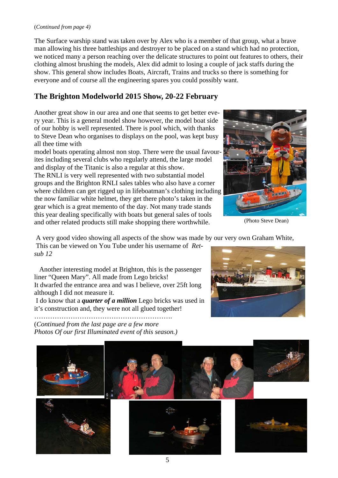#### (*Continued from page 4)*

The Surface warship stand was taken over by Alex who is a member of that group, what a brave man allowing his three battleships and destroyer to be placed on a stand which had no protection, we noticed many a person reaching over the delicate structures to point out features to others, their clothing almost brushing the models, Alex did admit to losing a couple of jack staffs during the show. This general show includes Boats, Aircraft, Trains and trucks so there is something for everyone and of course all the engineering spares you could possibly want.

## **The Brighton Modelworld 2015 Show, 20-22 February**

Another great show in our area and one that seems to get better every year. This is a general model show however, the model boat side of our hobby is well represented. There is pool which, with thanks to Steve Dean who organises to displays on the pool, was kept busy all thee time with

model boats operating almost non stop. There were the usual favourites including several clubs who regularly attend, the large model and display of the Titanic is also a regular at this show. The RNLI is very well represented with two substantial model groups and the Brighton RNLI sales tables who also have a corner where children can get rigged up in lifeboatman's clothing including the now familiar white helmet, they get there photo's taken in the gear which is a great memento of the day. Not many trade stands this year dealing specifically with boats but general sales of tools and other related products still make shopping there worthwhile.



(Photo Steve Dean)

A very good video showing all aspects of the show was made by our very own Graham White,

 This can be viewed on You Tube under his username of *Retsub 12* 

 Another interesting model at Brighton, this is the passenger liner "Queen Mary". All made from Lego bricks! It dwarfed the entrance area and was I believe, over 25ft long although I did not measure it.

 I do know that a *quarter of a million* Lego bricks was used in it's construction and, they were not all glued together!

(*Continued from the last page are a few more Photos Of our first Illuminated event of this season.)* 

…………………………………………………….



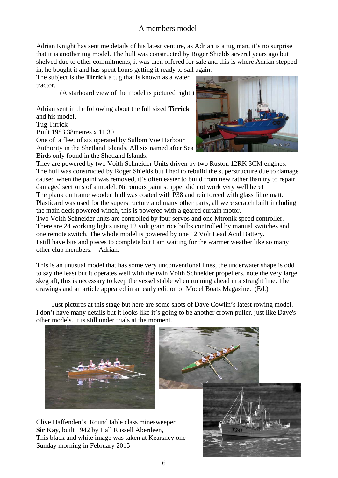# A members model

Adrian Knight has sent me details of his latest venture, as Adrian is a tug man, it's no surprise that it is another tug model. The hull was constructed by Roger Shields several years ago but shelved due to other commitments, it was then offered for sale and this is where Adrian stepped in, he bought it and has spent hours getting it ready to sail again.

The subject is the **Tirrick** a tug that is known as a water tractor.

(A starboard view of the model is pictured right.)

Adrian sent in the following about the full sized **Tirrick**  and his model.

Tug Tirrick

Built 1983 38metres x 11.30

One of a fleet of six operated by Sullom Voe Harbour Authority in the Shetland Islands. All six named after Sea Birds only found in the Shetland Islands.



They are powered by two Voith Schneider Units driven by two Ruston 12RK 3CM engines. The hull was constructed by Roger Shields but I had to rebuild the superstructure due to damage caused when the paint was removed, it's often easier to build from new rather than try to repair damaged sections of a model. Nitromors paint stripper did not work very well here! The plank on frame wooden hull was coated with P38 and reinforced with glass fibre matt. Plasticard was used for the superstructure and many other parts, all were scratch built including the main deck powered winch, this is powered with a geared curtain motor.

Two Voith Schneider units are controlled by four servos and one Mtronik speed controller. There are 24 working lights using 12 volt grain rice bulbs controlled by manual switches and one remote switch. The whole model is powered by one 12 Volt Lead Acid Battery. I still have bits and pieces to complete but I am waiting for the warmer weather like so many other club members. Adrian.

This is an unusual model that has some very unconventional lines, the underwater shape is odd to say the least but it operates well with the twin Voith Schneider propellers, note the very large skeg aft, this is necessary to keep the vessel stable when running ahead in a straight line. The drawings and an article appeared in an early edition of Model Boats Magazine. (Ed.)

 Just pictures at this stage but here are some shots of Dave Cowlin's latest rowing model. I don't have many details but it looks like it's going to be another crown puller, just like Dave's other models. It is still under trials at the moment.



Clive Haffenden's Round table class minesweeper **Sir Kay**, built 1942 by Hall Russell Aberdeen, This black and white image was taken at Kearsney one Sunday morning in February 2015



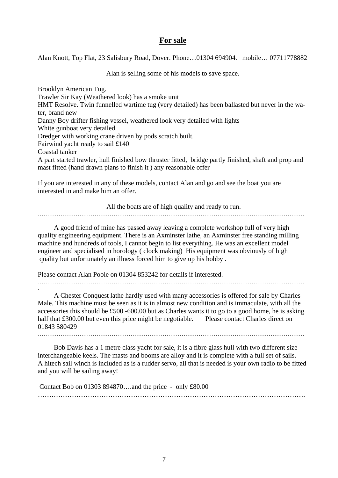#### **For sale**

Alan Knott, Top Flat, 23 Salisbury Road, Dover. Phone…01304 694904. mobile… 07711778882

Alan is selling some of his models to save space.

Brooklyn American Tug. Trawler Sir Kay (Weathered look) has a smoke unit HMT Resolve. Twin funnelled wartime tug (very detailed) has been ballasted but never in the water, brand new Danny Boy drifter fishing vessel, weathered look very detailed with lights White gunboat very detailed. Dredger with working crane driven by pods scratch built. Fairwind yacht ready to sail £140 Coastal tanker A part started trawler, hull finished bow thruster fitted, bridge partly finished, shaft and prop and mast fitted (hand drawn plans to finish it ) any reasonable offer

If you are interested in any of these models, contact Alan and go and see the boat you are interested in and make him an offer.

All the boats are of high quality and ready to run. ……………………………………………………………………………………………………………………………

 A good friend of mine has passed away leaving a complete workshop full of very high quality engineering equipment. There is an Axminster lathe, an Axminster free standing milling machine and hundreds of tools, I cannot begin to list everything. He was an excellent model engineer and specialised in horology ( clock making) His equipment was obviously of high quality but unfortunately an illness forced him to give up his hobby .

Please contact Alan Poole on 01304 853242 for details if interested.

.

 A Chester Conquest lathe hardly used with many accessories is offered for sale by Charles Male. This machine must be seen as it is in almost new condition and is immaculate, with all the accessories this should be £500 -600.00 but as Charles wants it to go to a good home, he is asking half that £300.00 but even this price might be negotiable. Please contact Charles direct on 01843 580429

Bob Davis has a 1 metre class yacht for sale, it is a fibre glass hull with two different size interchangeable keels. The masts and booms are alloy and it is complete with a full set of sails. A hitech sail winch is included as is a rudder servo, all that is needed is your own radio to be fitted and you will be sailing away!

 Contact Bob on 01303 894870….and the price - only £80.00 ……………………………………………………………………………………………………….